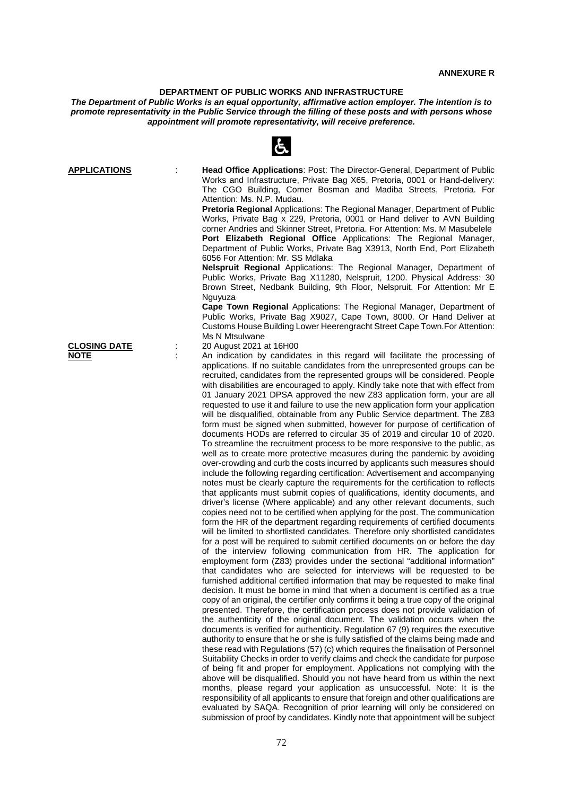## **DEPARTMENT OF PUBLIC WORKS AND INFRASTRUCTURE**

*The Department of Public Works is an equal opportunity, affirmative action employer. The intention is to promote representativity in the Public Service through the filling of these posts and with persons whose appointment will promote representativity, will receive preference.*

 $\mathcal{L}$ 

|                                            | $\sim$                                                                                                                                                                                                                                                                                                                                                                                                                                                                                                                                                                                                                                                                                                                                                                                                                                                                                                                                                                                                                                                                                                                                                                                                                                                                                                                                                                                                                                                                                                                                                                                                                                                                                                                                                                                                                                                                                                                                                                                                                                                                                                                                                                                                                                                                                                                                                                                                                                                                                                                                                                                                                                                                                                                                                                                                                                                                                                                                                                                                                        |
|--------------------------------------------|-------------------------------------------------------------------------------------------------------------------------------------------------------------------------------------------------------------------------------------------------------------------------------------------------------------------------------------------------------------------------------------------------------------------------------------------------------------------------------------------------------------------------------------------------------------------------------------------------------------------------------------------------------------------------------------------------------------------------------------------------------------------------------------------------------------------------------------------------------------------------------------------------------------------------------------------------------------------------------------------------------------------------------------------------------------------------------------------------------------------------------------------------------------------------------------------------------------------------------------------------------------------------------------------------------------------------------------------------------------------------------------------------------------------------------------------------------------------------------------------------------------------------------------------------------------------------------------------------------------------------------------------------------------------------------------------------------------------------------------------------------------------------------------------------------------------------------------------------------------------------------------------------------------------------------------------------------------------------------------------------------------------------------------------------------------------------------------------------------------------------------------------------------------------------------------------------------------------------------------------------------------------------------------------------------------------------------------------------------------------------------------------------------------------------------------------------------------------------------------------------------------------------------------------------------------------------------------------------------------------------------------------------------------------------------------------------------------------------------------------------------------------------------------------------------------------------------------------------------------------------------------------------------------------------------------------------------------------------------------------------------------------------------|
| <b>APPLICATIONS</b><br><b>CLOSING DATE</b> | <b>Head Office Applications: Post: The Director-General, Department of Public</b><br>Works and Infrastructure, Private Bag X65, Pretoria, 0001 or Hand-delivery:<br>The CGO Building, Corner Bosman and Madiba Streets, Pretoria. For<br>Attention: Ms. N.P. Mudau.<br>Pretoria Regional Applications: The Regional Manager, Department of Public<br>Works, Private Bag x 229, Pretoria, 0001 or Hand deliver to AVN Building<br>corner Andries and Skinner Street, Pretoria. For Attention: Ms. M Masubelele<br>Port Elizabeth Regional Office Applications: The Regional Manager,<br>Department of Public Works, Private Bag X3913, North End, Port Elizabeth<br>6056 For Attention: Mr. SS Mdlaka<br>Nelspruit Regional Applications: The Regional Manager, Department of<br>Public Works, Private Bag X11280, Nelspruit, 1200. Physical Address: 30<br>Brown Street, Nedbank Building, 9th Floor, Nelspruit. For Attention: Mr E<br>Nguyuza<br>Cape Town Regional Applications: The Regional Manager, Department of<br>Public Works, Private Bag X9027, Cape Town, 8000. Or Hand Deliver at<br>Customs House Building Lower Heerengracht Street Cape Town. For Attention:<br>Ms N Mtsulwane<br>20 August 2021 at 16H00                                                                                                                                                                                                                                                                                                                                                                                                                                                                                                                                                                                                                                                                                                                                                                                                                                                                                                                                                                                                                                                                                                                                                                                                                                                                                                                                                                                                                                                                                                                                                                                                                                                                                                                                                                                                    |
| <b>NOTE</b>                                | An indication by candidates in this regard will facilitate the processing of<br>applications. If no suitable candidates from the unrepresented groups can be<br>recruited, candidates from the represented groups will be considered. People<br>with disabilities are encouraged to apply. Kindly take note that with effect from<br>01 January 2021 DPSA approved the new Z83 application form, your are all<br>requested to use it and failure to use the new application form your application<br>will be disqualified, obtainable from any Public Service department. The Z83<br>form must be signed when submitted, however for purpose of certification of<br>documents HODs are referred to circular 35 of 2019 and circular 10 of 2020.<br>To streamline the recruitment process to be more responsive to the public, as<br>well as to create more protective measures during the pandemic by avoiding<br>over-crowding and curb the costs incurred by applicants such measures should<br>include the following regarding certification: Advertisement and accompanying<br>notes must be clearly capture the requirements for the certification to reflects<br>that applicants must submit copies of qualifications, identity documents, and<br>driver's license (Where applicable) and any other relevant documents, such<br>copies need not to be certified when applying for the post. The communication<br>form the HR of the department regarding requirements of certified documents<br>will be limited to shortlisted candidates. Therefore only shortlisted candidates<br>for a post will be required to submit certified documents on or before the day<br>of the interview following communication from HR. The application for<br>employment form (Z83) provides under the sectional "additional information"<br>that candidates who are selected for interviews will be requested to be<br>furnished additional certified information that may be requested to make final<br>decision. It must be borne in mind that when a document is certified as a true<br>copy of an original, the certifier only confirms it being a true copy of the original<br>presented. Therefore, the certification process does not provide validation of<br>the authenticity of the original document. The validation occurs when the<br>documents is verified for authenticity. Regulation 67 (9) requires the executive<br>authority to ensure that he or she is fully satisfied of the claims being made and<br>these read with Regulations (57) (c) which requires the finalisation of Personnel<br>Suitability Checks in order to verify claims and check the candidate for purpose<br>of being fit and proper for employment. Applications not complying with the<br>above will be disqualified. Should you not have heard from us within the next<br>months, please regard your application as unsuccessful. Note: It is the<br>responsibility of all applicants to ensure that foreign and other qualifications are |

evaluated by SAQA. Recognition of prior learning will only be considered on submission of proof by candidates. Kindly note that appointment will be subject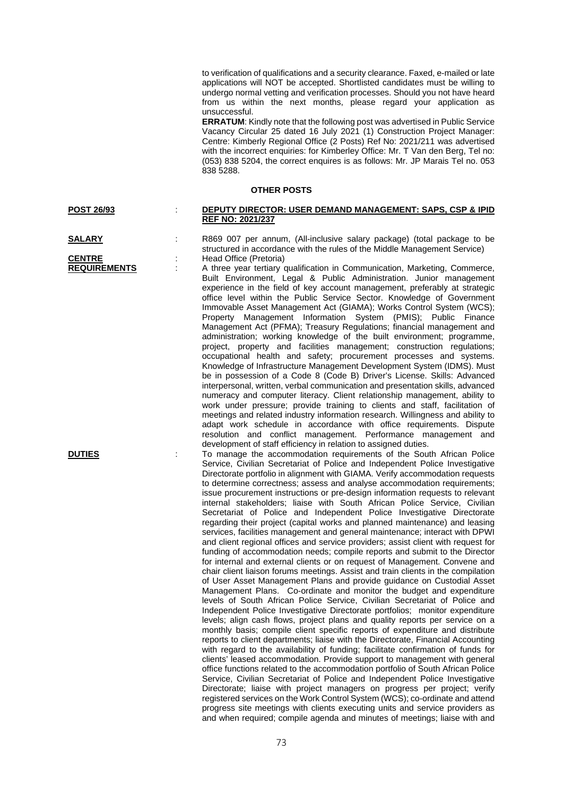to verification of qualifications and a security clearance. Faxed, e-mailed or late applications will NOT be accepted. Shortlisted candidates must be willing to undergo normal vetting and verification processes. Should you not have heard from us within the next months, please regard your application as unsuccessful.

**ERRATUM**: Kindly note that the following post was advertised in Public Service Vacancy Circular 25 dated 16 July 2021 (1) Construction Project Manager: Centre: Kimberly Regional Office (2 Posts) Ref No: 2021/211 was advertised with the incorrect enquiries: for Kimberley Office: Mr. T Van den Berg, Tel no: (053) 838 5204, the correct enquires is as follows: Mr. JP Marais Tel no. 053 838 5288.

## **OTHER POSTS**

| <b>POST 26/93</b> | DEPUTY DIRECTOR: USER DEMAND MANAGEMENT: SAPS, CSP & IPID |
|-------------------|-----------------------------------------------------------|
|                   | <b>REF NO: 2021/237</b>                                   |

**SALARY** : R869 007 per annum, (All-inclusive salary package) (total package to be structured in accordance with the rules of the Middle Management Service) **CENTRE** : Head Office (Pretoria)<br> **REQUIREMENTS** : A three year tertiary of

A three year tertiary qualification in Communication, Marketing, Commerce, Built Environment, Legal & Public Administration. Junior management experience in the field of key account management, preferably at strategic office level within the Public Service Sector. Knowledge of Government Immovable Asset Management Act (GIAMA); Works Control System (WCS); Property Management Information System (PMIS); Public Finance Management Act (PFMA); Treasury Regulations; financial management and administration; working knowledge of the built environment; programme, project, property and facilities management; construction regulations; occupational health and safety; procurement processes and systems. Knowledge of Infrastructure Management Development System (IDMS). Must be in possession of a Code 8 (Code B) Driver's License. Skills: Advanced interpersonal, written, verbal communication and presentation skills, advanced numeracy and computer literacy. Client relationship management, ability to work under pressure; provide training to clients and staff, facilitation of meetings and related industry information research. Willingness and ability to adapt work schedule in accordance with office requirements. Dispute resolution and conflict management. Performance management and development of staff efficiency in relation to assigned duties.

**DUTIES** To manage the accommodation requirements of the South African Police Service, Civilian Secretariat of Police and Independent Police Investigative Directorate portfolio in alignment with GIAMA. Verify accommodation requests to determine correctness; assess and analyse accommodation requirements; issue procurement instructions or pre-design information requests to relevant internal stakeholders; liaise with South African Police Service, Civilian Secretariat of Police and Independent Police Investigative Directorate regarding their project (capital works and planned maintenance) and leasing services, facilities management and general maintenance; interact with DPWI and client regional offices and service providers; assist client with request for funding of accommodation needs; compile reports and submit to the Director for internal and external clients or on request of Management. Convene and chair client liaison forums meetings. Assist and train clients in the compilation of User Asset Management Plans and provide guidance on Custodial Asset Management Plans. Co-ordinate and monitor the budget and expenditure levels of South African Police Service, Civilian Secretariat of Police and Independent Police Investigative Directorate portfolios; monitor expenditure levels; align cash flows, project plans and quality reports per service on a monthly basis; compile client specific reports of expenditure and distribute reports to client departments; liaise with the Directorate, Financial Accounting with regard to the availability of funding; facilitate confirmation of funds for clients' leased accommodation. Provide support to management with general office functions related to the accommodation portfolio of South African Police Service, Civilian Secretariat of Police and Independent Police Investigative Directorate; liaise with project managers on progress per project; verify registered services on the Work Control System (WCS); co-ordinate and attend progress site meetings with clients executing units and service providers as and when required; compile agenda and minutes of meetings; liaise with and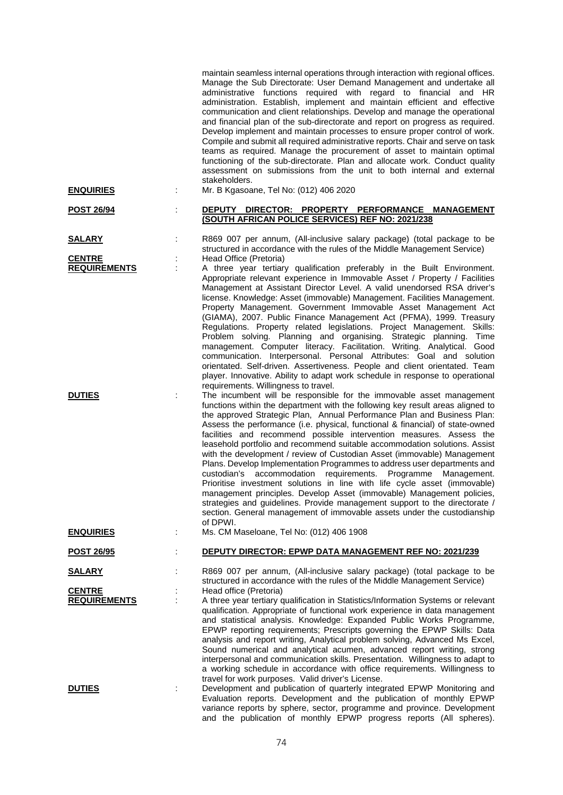| <b>ENQUIRIES</b>                                      | maintain seamless internal operations through interaction with regional offices.<br>Manage the Sub Directorate: User Demand Management and undertake all<br>administrative functions required with regard to financial and HR<br>administration. Establish, implement and maintain efficient and effective<br>communication and client relationships. Develop and manage the operational<br>and financial plan of the sub-directorate and report on progress as required.<br>Develop implement and maintain processes to ensure proper control of work.<br>Compile and submit all required administrative reports. Chair and serve on task<br>teams as required. Manage the procurement of asset to maintain optimal<br>functioning of the sub-directorate. Plan and allocate work. Conduct quality<br>assessment on submissions from the unit to both internal and external<br>stakeholders.<br>Mr. B Kgasoane, Tel No: (012) 406 2020                                                                                                                                                                                                                                                                                                                                                                                                                                                                                                                                                                                                                                                                                                                                                                                                                                                                                                                                                                                  |
|-------------------------------------------------------|--------------------------------------------------------------------------------------------------------------------------------------------------------------------------------------------------------------------------------------------------------------------------------------------------------------------------------------------------------------------------------------------------------------------------------------------------------------------------------------------------------------------------------------------------------------------------------------------------------------------------------------------------------------------------------------------------------------------------------------------------------------------------------------------------------------------------------------------------------------------------------------------------------------------------------------------------------------------------------------------------------------------------------------------------------------------------------------------------------------------------------------------------------------------------------------------------------------------------------------------------------------------------------------------------------------------------------------------------------------------------------------------------------------------------------------------------------------------------------------------------------------------------------------------------------------------------------------------------------------------------------------------------------------------------------------------------------------------------------------------------------------------------------------------------------------------------------------------------------------------------------------------------------------------------|
| <b>POST 26/94</b>                                     | DEPUTY DIRECTOR: PROPERTY PERFORMANCE MANAGEMENT<br>(SOUTH AFRICAN POLICE SERVICES) REF NO: 2021/238                                                                                                                                                                                                                                                                                                                                                                                                                                                                                                                                                                                                                                                                                                                                                                                                                                                                                                                                                                                                                                                                                                                                                                                                                                                                                                                                                                                                                                                                                                                                                                                                                                                                                                                                                                                                                     |
| <u>SALARY</u><br><b>CENTRE</b><br><b>REQUIREMENTS</b> | R869 007 per annum, (All-inclusive salary package) (total package to be<br>structured in accordance with the rules of the Middle Management Service)<br>Head Office (Pretoria)<br>A three year tertiary qualification preferably in the Built Environment.                                                                                                                                                                                                                                                                                                                                                                                                                                                                                                                                                                                                                                                                                                                                                                                                                                                                                                                                                                                                                                                                                                                                                                                                                                                                                                                                                                                                                                                                                                                                                                                                                                                               |
| <b>DUTIES</b>                                         | Appropriate relevant experience in Immovable Asset / Property / Facilities<br>Management at Assistant Director Level. A valid unendorsed RSA driver's<br>license. Knowledge: Asset (immovable) Management. Facilities Management.<br>Property Management. Government Immovable Asset Management Act<br>(GIAMA), 2007. Public Finance Management Act (PFMA), 1999. Treasury<br>Regulations. Property related legislations. Project Management. Skills:<br>Problem solving. Planning and organising. Strategic planning. Time<br>management. Computer literacy. Facilitation. Writing. Analytical. Good<br>communication. Interpersonal. Personal Attributes: Goal and solution<br>orientated. Self-driven. Assertiveness. People and client orientated. Team<br>player. Innovative. Ability to adapt work schedule in response to operational<br>requirements. Willingness to travel.<br>The incumbent will be responsible for the immovable asset management<br>functions within the department with the following key result areas aligned to<br>the approved Strategic Plan, Annual Performance Plan and Business Plan:<br>Assess the performance (i.e. physical, functional & financial) of state-owned<br>facilities and recommend possible intervention measures. Assess the<br>leasehold portfolio and recommend suitable accommodation solutions. Assist<br>with the development / review of Custodian Asset (immovable) Management<br>Plans. Develop Implementation Programmes to address user departments and<br>accommodation requirements.<br>Programme Management.<br>custodian's<br>Prioritise investment solutions in line with life cycle asset (immovable)<br>management principles. Develop Asset (immovable) Management policies,<br>strategies and guidelines. Provide management support to the directorate /<br>section. General management of immovable assets under the custodianship<br>of DPWI. |
| <b>ENQUIRIES</b>                                      | Ms. CM Maseloane, Tel No: (012) 406 1908                                                                                                                                                                                                                                                                                                                                                                                                                                                                                                                                                                                                                                                                                                                                                                                                                                                                                                                                                                                                                                                                                                                                                                                                                                                                                                                                                                                                                                                                                                                                                                                                                                                                                                                                                                                                                                                                                 |
| <b>POST 26/95</b>                                     | DEPUTY DIRECTOR: EPWP DATA MANAGEMENT REF NO: 2021/239                                                                                                                                                                                                                                                                                                                                                                                                                                                                                                                                                                                                                                                                                                                                                                                                                                                                                                                                                                                                                                                                                                                                                                                                                                                                                                                                                                                                                                                                                                                                                                                                                                                                                                                                                                                                                                                                   |
| <b>SALARY</b>                                         | R869 007 per annum, (All-inclusive salary package) (total package to be<br>structured in accordance with the rules of the Middle Management Service)                                                                                                                                                                                                                                                                                                                                                                                                                                                                                                                                                                                                                                                                                                                                                                                                                                                                                                                                                                                                                                                                                                                                                                                                                                                                                                                                                                                                                                                                                                                                                                                                                                                                                                                                                                     |
| <b>CENTRE</b><br><b>REQUIREMENTS</b>                  | Head office (Pretoria)<br>A three year tertiary qualification in Statistics/Information Systems or relevant<br>qualification. Appropriate of functional work experience in data management<br>and statistical analysis. Knowledge: Expanded Public Works Programme,<br>EPWP reporting requirements; Prescripts governing the EPWP Skills: Data<br>analysis and report writing, Analytical problem solving, Advanced Ms Excel,<br>Sound numerical and analytical acumen, advanced report writing, strong<br>interpersonal and communication skills. Presentation. Willingness to adapt to<br>a working schedule in accordance with office requirements. Willingness to<br>travel for work purposes. Valid driver's License.                                                                                                                                                                                                                                                                                                                                                                                                                                                                                                                                                                                                                                                                                                                                                                                                                                                                                                                                                                                                                                                                                                                                                                                               |
| <b>DUTIES</b>                                         | Development and publication of quarterly integrated EPWP Monitoring and<br>Evaluation reports. Development and the publication of monthly EPWP<br>variance reports by sphere, sector, programme and province. Development<br>and the publication of monthly EPWP progress reports (All spheres).                                                                                                                                                                                                                                                                                                                                                                                                                                                                                                                                                                                                                                                                                                                                                                                                                                                                                                                                                                                                                                                                                                                                                                                                                                                                                                                                                                                                                                                                                                                                                                                                                         |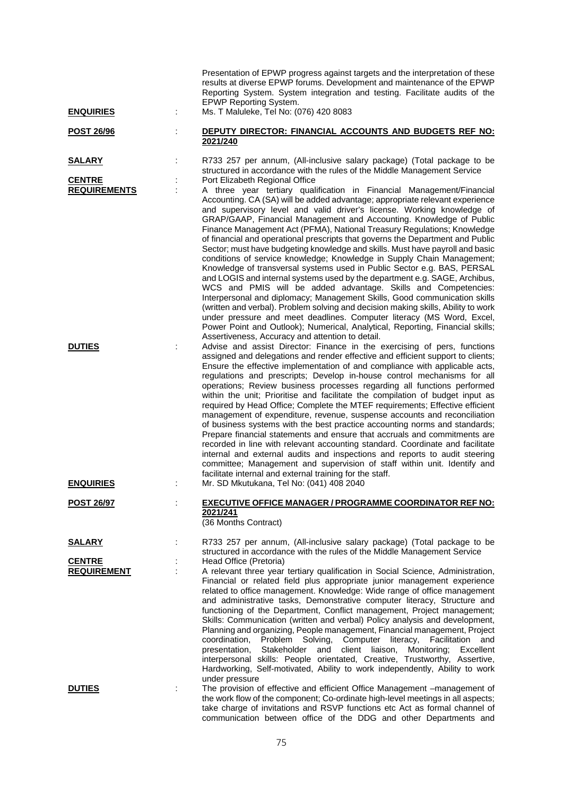| <b>ENQUIRIES</b>                                      |   | Presentation of EPWP progress against targets and the interpretation of these<br>results at diverse EPWP forums. Development and maintenance of the EPWP<br>Reporting System. System integration and testing. Facilitate audits of the<br><b>EPWP Reporting System.</b><br>Ms. T Maluleke, Tel No: (076) 420 8083                                                                                                                                                                                                                                                                                                                                                                                                                                                                                                                                                                                                                                                                                                                                                                                                                                                                                                                                                                                                                                       |
|-------------------------------------------------------|---|---------------------------------------------------------------------------------------------------------------------------------------------------------------------------------------------------------------------------------------------------------------------------------------------------------------------------------------------------------------------------------------------------------------------------------------------------------------------------------------------------------------------------------------------------------------------------------------------------------------------------------------------------------------------------------------------------------------------------------------------------------------------------------------------------------------------------------------------------------------------------------------------------------------------------------------------------------------------------------------------------------------------------------------------------------------------------------------------------------------------------------------------------------------------------------------------------------------------------------------------------------------------------------------------------------------------------------------------------------|
| <b>POST 26/96</b>                                     |   | DEPUTY DIRECTOR: FINANCIAL ACCOUNTS AND BUDGETS REF NO:<br>2021/240                                                                                                                                                                                                                                                                                                                                                                                                                                                                                                                                                                                                                                                                                                                                                                                                                                                                                                                                                                                                                                                                                                                                                                                                                                                                                     |
| <u>SALARY</u>                                         |   | R733 257 per annum, (All-inclusive salary package) (Total package to be<br>structured in accordance with the rules of the Middle Management Service                                                                                                                                                                                                                                                                                                                                                                                                                                                                                                                                                                                                                                                                                                                                                                                                                                                                                                                                                                                                                                                                                                                                                                                                     |
| <b>CENTRE</b><br><b>REQUIREMENTS</b><br><b>DUTIES</b> | t | Port Elizabeth Regional Office<br>A three year tertiary qualification in Financial Management/Financial<br>Accounting. CA (SA) will be added advantage; appropriate relevant experience<br>and supervisory level and valid driver's license. Working knowledge of<br>GRAP/GAAP, Financial Management and Accounting. Knowledge of Public<br>Finance Management Act (PFMA), National Treasury Regulations; Knowledge<br>of financial and operational prescripts that governs the Department and Public<br>Sector; must have budgeting knowledge and skills. Must have payroll and basic<br>conditions of service knowledge; Knowledge in Supply Chain Management;<br>Knowledge of transversal systems used in Public Sector e.g. BAS, PERSAL<br>and LOGIS and internal systems used by the department e.g. SAGE, Archibus,<br>WCS and PMIS will be added advantage. Skills and Competencies:<br>Interpersonal and diplomacy; Management Skills, Good communication skills<br>(written and verbal). Problem solving and decision making skills, Ability to work<br>under pressure and meet deadlines. Computer literacy (MS Word, Excel,<br>Power Point and Outlook); Numerical, Analytical, Reporting, Financial skills;<br>Assertiveness, Accuracy and attention to detail.<br>Advise and assist Director: Finance in the exercising of pers, functions |
|                                                       |   | assigned and delegations and render effective and efficient support to clients;<br>Ensure the effective implementation of and compliance with applicable acts,<br>regulations and prescripts; Develop in-house control mechanisms for all<br>operations; Review business processes regarding all functions performed<br>within the unit; Prioritise and facilitate the compilation of budget input as<br>required by Head Office; Complete the MTEF requirements; Effective efficient<br>management of expenditure, revenue, suspense accounts and reconciliation<br>of business systems with the best practice accounting norms and standards;<br>Prepare financial statements and ensure that accruals and commitments are<br>recorded in line with relevant accounting standard. Coordinate and facilitate<br>internal and external audits and inspections and reports to audit steering<br>committee; Management and supervision of staff within unit. Identify and<br>facilitate internal and external training for the staff.                                                                                                                                                                                                                                                                                                                     |
| <b>ENQUIRIES</b>                                      |   | Mr. SD Mkutukana, Tel No: (041) 408 2040                                                                                                                                                                                                                                                                                                                                                                                                                                                                                                                                                                                                                                                                                                                                                                                                                                                                                                                                                                                                                                                                                                                                                                                                                                                                                                                |
| <b>POST 26/97</b>                                     |   | <b>EXECUTIVE OFFICE MANAGER / PROGRAMME COORDINATOR REF NO:</b><br>2021/241<br>(36 Months Contract)                                                                                                                                                                                                                                                                                                                                                                                                                                                                                                                                                                                                                                                                                                                                                                                                                                                                                                                                                                                                                                                                                                                                                                                                                                                     |
| <b>SALARY</b>                                         |   | R733 257 per annum, (All-inclusive salary package) (Total package to be<br>structured in accordance with the rules of the Middle Management Service                                                                                                                                                                                                                                                                                                                                                                                                                                                                                                                                                                                                                                                                                                                                                                                                                                                                                                                                                                                                                                                                                                                                                                                                     |
| <b>CENTRE</b><br><b>REQUIREMENT</b>                   |   | Head Office (Pretoria)<br>A relevant three year tertiary qualification in Social Science, Administration,<br>Financial or related field plus appropriate junior management experience<br>related to office management. Knowledge: Wide range of office management<br>and administrative tasks, Demonstrative computer literacy, Structure and<br>functioning of the Department, Conflict management, Project management;<br>Skills: Communication (written and verbal) Policy analysis and development,<br>Planning and organizing, People management, Financial management, Project<br>coordination,<br>Problem Solving, Computer literacy, Facilitation<br>and<br>Stakeholder<br>client liaison,<br>Monitoring;<br>presentation,<br>and<br>Excellent<br>interpersonal skills: People orientated, Creative, Trustworthy, Assertive,<br>Hardworking, Self-motivated, Ability to work independently, Ability to work<br>under pressure                                                                                                                                                                                                                                                                                                                                                                                                                   |
| <b>DUTIES</b>                                         |   | The provision of effective and efficient Office Management -management of<br>the work flow of the component; Co-ordinate high-level meetings in all aspects;<br>take charge of invitations and RSVP functions etc Act as formal channel of<br>communication between office of the DDG and other Departments and                                                                                                                                                                                                                                                                                                                                                                                                                                                                                                                                                                                                                                                                                                                                                                                                                                                                                                                                                                                                                                         |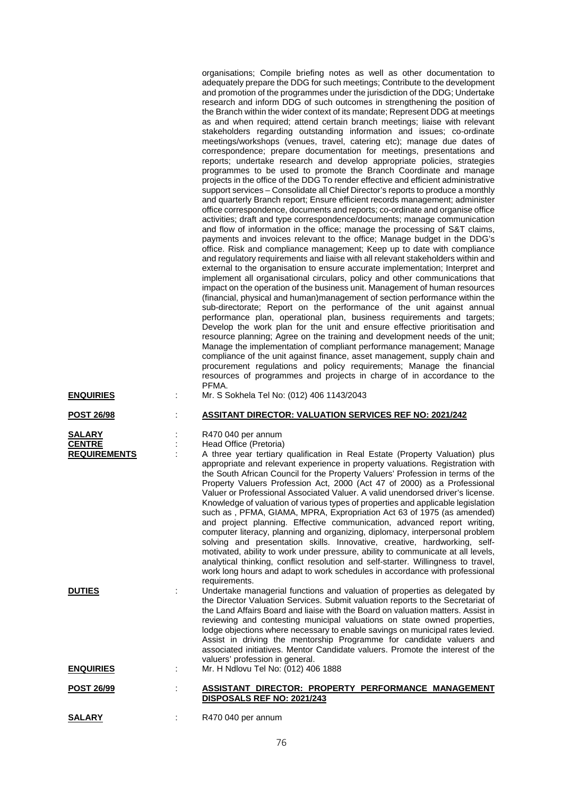|                                                       | organisations; Compile briefing notes as well as other documentation to<br>adequately prepare the DDG for such meetings; Contribute to the development<br>and promotion of the programmes under the jurisdiction of the DDG; Undertake<br>research and inform DDG of such outcomes in strengthening the position of<br>the Branch within the wider context of its mandate; Represent DDG at meetings<br>as and when required; attend certain branch meetings; liaise with relevant<br>stakeholders regarding outstanding information and issues; co-ordinate<br>meetings/workshops (venues, travel, catering etc); manage due dates of<br>correspondence; prepare documentation for meetings, presentations and<br>reports; undertake research and develop appropriate policies, strategies<br>programmes to be used to promote the Branch Coordinate and manage<br>projects in the office of the DDG To render effective and efficient administrative<br>support services - Consolidate all Chief Director's reports to produce a monthly<br>and quarterly Branch report; Ensure efficient records management; administer<br>office correspondence, documents and reports; co-ordinate and organise office<br>activities; draft and type correspondence/documents; manage communication<br>and flow of information in the office; manage the processing of S&T claims,<br>payments and invoices relevant to the office; Manage budget in the DDG's<br>office. Risk and compliance management; Keep up to date with compliance<br>and regulatory requirements and liaise with all relevant stakeholders within and<br>external to the organisation to ensure accurate implementation; Interpret and<br>implement all organisational circulars, policy and other communications that<br>impact on the operation of the business unit. Management of human resources<br>(financial, physical and human)management of section performance within the<br>sub-directorate; Report on the performance of the unit against annual<br>performance plan, operational plan, business requirements and targets;<br>Develop the work plan for the unit and ensure effective prioritisation and<br>resource planning; Agree on the training and development needs of the unit;<br>Manage the implementation of compliant performance management; Manage<br>compliance of the unit against finance, asset management, supply chain and<br>procurement regulations and policy requirements; Manage the financial<br>resources of programmes and projects in charge of in accordance to the<br>PFMA. |
|-------------------------------------------------------|--------------------------------------------------------------------------------------------------------------------------------------------------------------------------------------------------------------------------------------------------------------------------------------------------------------------------------------------------------------------------------------------------------------------------------------------------------------------------------------------------------------------------------------------------------------------------------------------------------------------------------------------------------------------------------------------------------------------------------------------------------------------------------------------------------------------------------------------------------------------------------------------------------------------------------------------------------------------------------------------------------------------------------------------------------------------------------------------------------------------------------------------------------------------------------------------------------------------------------------------------------------------------------------------------------------------------------------------------------------------------------------------------------------------------------------------------------------------------------------------------------------------------------------------------------------------------------------------------------------------------------------------------------------------------------------------------------------------------------------------------------------------------------------------------------------------------------------------------------------------------------------------------------------------------------------------------------------------------------------------------------------------------------------------------------------------------------------------------------------------------------------------------------------------------------------------------------------------------------------------------------------------------------------------------------------------------------------------------------------------------------------------------------------------------------------------------------------------------------------------------------------------------------------------------------------------------------------|
| <b>ENQUIRIES</b>                                      | Mr. S Sokhela Tel No: (012) 406 1143/2043                                                                                                                                                                                                                                                                                                                                                                                                                                                                                                                                                                                                                                                                                                                                                                                                                                                                                                                                                                                                                                                                                                                                                                                                                                                                                                                                                                                                                                                                                                                                                                                                                                                                                                                                                                                                                                                                                                                                                                                                                                                                                                                                                                                                                                                                                                                                                                                                                                                                                                                                            |
| <u>POST 26/98</u>                                     | <b>ASSITANT DIRECTOR: VALUATION SERVICES REF NO: 2021/242</b>                                                                                                                                                                                                                                                                                                                                                                                                                                                                                                                                                                                                                                                                                                                                                                                                                                                                                                                                                                                                                                                                                                                                                                                                                                                                                                                                                                                                                                                                                                                                                                                                                                                                                                                                                                                                                                                                                                                                                                                                                                                                                                                                                                                                                                                                                                                                                                                                                                                                                                                        |
| <b>SALARY</b><br><b>CENTRE</b><br><b>REQUIREMENTS</b> | R470 040 per annum<br>Head Office (Pretoria)<br>A three year tertiary qualification in Real Estate (Property Valuation) plus<br>appropriate and relevant experience in property valuations. Registration with<br>the South African Council for the Property Valuers' Profession in terms of the<br>Property Valuers Profession Act, 2000 (Act 47 of 2000) as a Professional<br>Valuer or Professional Associated Valuer. A valid unendorsed driver's license.<br>Knowledge of valuation of various types of properties and applicable legislation<br>such as, PFMA, GIAMA, MPRA, Expropriation Act 63 of 1975 (as amended)<br>and project planning. Effective communication, advanced report writing,<br>computer literacy, planning and organizing, diplomacy, interpersonal problem<br>solving and presentation skills. Innovative, creative, hardworking, self-<br>motivated, ability to work under pressure, ability to communicate at all levels,<br>analytical thinking, conflict resolution and self-starter. Willingness to travel,<br>work long hours and adapt to work schedules in accordance with professional<br>requirements.                                                                                                                                                                                                                                                                                                                                                                                                                                                                                                                                                                                                                                                                                                                                                                                                                                                                                                                                                                                                                                                                                                                                                                                                                                                                                                                                                                                                                                          |
| <b>DUTIES</b>                                         | Undertake managerial functions and valuation of properties as delegated by<br>the Director Valuation Services. Submit valuation reports to the Secretariat of<br>the Land Affairs Board and liaise with the Board on valuation matters. Assist in<br>reviewing and contesting municipal valuations on state owned properties,<br>lodge objections where necessary to enable savings on municipal rates levied.<br>Assist in driving the mentorship Programme for candidate valuers and<br>associated initiatives. Mentor Candidate valuers. Promote the interest of the<br>valuers' profession in general.                                                                                                                                                                                                                                                                                                                                                                                                                                                                                                                                                                                                                                                                                                                                                                                                                                                                                                                                                                                                                                                                                                                                                                                                                                                                                                                                                                                                                                                                                                                                                                                                                                                                                                                                                                                                                                                                                                                                                                           |
| <b>ENQUIRIES</b>                                      | Mr. H Ndlovu Tel No: (012) 406 1888                                                                                                                                                                                                                                                                                                                                                                                                                                                                                                                                                                                                                                                                                                                                                                                                                                                                                                                                                                                                                                                                                                                                                                                                                                                                                                                                                                                                                                                                                                                                                                                                                                                                                                                                                                                                                                                                                                                                                                                                                                                                                                                                                                                                                                                                                                                                                                                                                                                                                                                                                  |
| <b>POST 26/99</b>                                     | ASSISTANT DIRECTOR: PROPERTY PERFORMANCE MANAGEMENT<br>DISPOSALS REF NO: 2021/243                                                                                                                                                                                                                                                                                                                                                                                                                                                                                                                                                                                                                                                                                                                                                                                                                                                                                                                                                                                                                                                                                                                                                                                                                                                                                                                                                                                                                                                                                                                                                                                                                                                                                                                                                                                                                                                                                                                                                                                                                                                                                                                                                                                                                                                                                                                                                                                                                                                                                                    |
| <b>SALARY</b>                                         | R470 040 per annum                                                                                                                                                                                                                                                                                                                                                                                                                                                                                                                                                                                                                                                                                                                                                                                                                                                                                                                                                                                                                                                                                                                                                                                                                                                                                                                                                                                                                                                                                                                                                                                                                                                                                                                                                                                                                                                                                                                                                                                                                                                                                                                                                                                                                                                                                                                                                                                                                                                                                                                                                                   |

76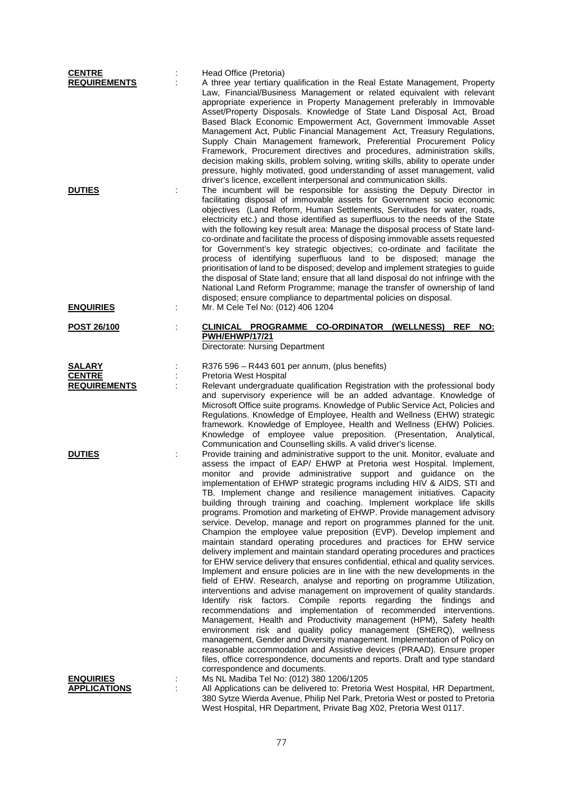| <b>CENTRE</b>                     | Head Office (Pretoria)                                                                                                                                                                                                                                                                                                                                                                                                                                                                                                                                                                                                                                                                                                                                                                                                                                                                                                                                                                                                                                                                                                                                                                                                                                                                                                                                                                                                                                                                                                                                                                                                                                                                                                            |
|-----------------------------------|-----------------------------------------------------------------------------------------------------------------------------------------------------------------------------------------------------------------------------------------------------------------------------------------------------------------------------------------------------------------------------------------------------------------------------------------------------------------------------------------------------------------------------------------------------------------------------------------------------------------------------------------------------------------------------------------------------------------------------------------------------------------------------------------------------------------------------------------------------------------------------------------------------------------------------------------------------------------------------------------------------------------------------------------------------------------------------------------------------------------------------------------------------------------------------------------------------------------------------------------------------------------------------------------------------------------------------------------------------------------------------------------------------------------------------------------------------------------------------------------------------------------------------------------------------------------------------------------------------------------------------------------------------------------------------------------------------------------------------------|
| <b>REQUIREMENTS</b>               | A three year tertiary qualification in the Real Estate Management, Property<br>Law, Financial/Business Management or related equivalent with relevant<br>appropriate experience in Property Management preferably in Immovable<br>Asset/Property Disposals. Knowledge of State Land Disposal Act, Broad<br>Based Black Economic Empowerment Act, Government Immovable Asset<br>Management Act, Public Financial Management Act, Treasury Regulations,<br>Supply Chain Management framework, Preferential Procurement Policy<br>Framework, Procurement directives and procedures, administration skills,<br>decision making skills, problem solving, writing skills, ability to operate under<br>pressure, highly motivated, good understanding of asset management, valid<br>driver's licence, excellent interpersonal and communication skills.                                                                                                                                                                                                                                                                                                                                                                                                                                                                                                                                                                                                                                                                                                                                                                                                                                                                                  |
| <b>DUTIES</b><br><b>ENQUIRIES</b> | The incumbent will be responsible for assisting the Deputy Director in<br>facilitating disposal of immovable assets for Government socio economic<br>objectives (Land Reform, Human Settlements, Servitudes for water, roads,<br>electricity etc.) and those identified as superfluous to the needs of the State<br>with the following key result area: Manage the disposal process of State land-<br>co-ordinate and facilitate the process of disposing immovable assets requested<br>for Government's key strategic objectives; co-ordinate and facilitate the<br>process of identifying superfluous land to be disposed; manage the<br>prioritisation of land to be disposed; develop and implement strategies to guide<br>the disposal of State land; ensure that all land disposal do not infringe with the<br>National Land Reform Programme; manage the transfer of ownership of land<br>disposed; ensure compliance to departmental policies on disposal.<br>Mr. M Cele Tel No: (012) 406 1204                                                                                                                                                                                                                                                                                                                                                                                                                                                                                                                                                                                                                                                                                                                           |
|                                   |                                                                                                                                                                                                                                                                                                                                                                                                                                                                                                                                                                                                                                                                                                                                                                                                                                                                                                                                                                                                                                                                                                                                                                                                                                                                                                                                                                                                                                                                                                                                                                                                                                                                                                                                   |
| POST 26/100                       | CLINICAL PROGRAMME CO-ORDINATOR (WELLNESS) REF<br>NO:<br><b>PWH/EHWP/17/21</b><br>Directorate: Nursing Department                                                                                                                                                                                                                                                                                                                                                                                                                                                                                                                                                                                                                                                                                                                                                                                                                                                                                                                                                                                                                                                                                                                                                                                                                                                                                                                                                                                                                                                                                                                                                                                                                 |
| <b>SALARY</b>                     | R376 596 - R443 601 per annum, (plus benefits)                                                                                                                                                                                                                                                                                                                                                                                                                                                                                                                                                                                                                                                                                                                                                                                                                                                                                                                                                                                                                                                                                                                                                                                                                                                                                                                                                                                                                                                                                                                                                                                                                                                                                    |
| <b>CENTRE</b>                     | Pretoria West Hospital                                                                                                                                                                                                                                                                                                                                                                                                                                                                                                                                                                                                                                                                                                                                                                                                                                                                                                                                                                                                                                                                                                                                                                                                                                                                                                                                                                                                                                                                                                                                                                                                                                                                                                            |
| <b>REQUIREMENTS</b>               | Relevant undergraduate qualification Registration with the professional body<br>and supervisory experience will be an added advantage. Knowledge of<br>Microsoft Office suite programs. Knowledge of Public Service Act, Policies and<br>Regulations. Knowledge of Employee, Health and Wellness (EHW) strategic<br>framework. Knowledge of Employee, Health and Wellness (EHW) Policies.<br>Knowledge of employee value preposition. (Presentation, Analytical,<br>Communication and Counselling skills. A valid driver's license.                                                                                                                                                                                                                                                                                                                                                                                                                                                                                                                                                                                                                                                                                                                                                                                                                                                                                                                                                                                                                                                                                                                                                                                               |
| <b>DUTIES</b>                     | Provide training and administrative support to the unit. Monitor, evaluate and<br>assess the impact of EAP/ EHWP at Pretoria west Hospital. Implement,<br>monitor and provide administrative support and guidance on the<br>implementation of EHWP strategic programs including HIV & AIDS, STI and<br>TB. Implement change and resilience management initiatives. Capacity<br>building through training and coaching. Implement workplace life skills<br>programs. Promotion and marketing of EHWP. Provide management advisory<br>service. Develop, manage and report on programmes planned for the unit.<br>Champion the employee value preposition (EVP). Develop implement and<br>maintain standard operating procedures and practices for EHW service<br>delivery implement and maintain standard operating procedures and practices<br>for EHW service delivery that ensures confidential, ethical and quality services.<br>Implement and ensure policies are in line with the new developments in the<br>field of EHW. Research, analyse and reporting on programme Utilization,<br>interventions and advise management on improvement of quality standards.<br>Identify risk factors. Compile reports regarding the findings<br>and<br>recommendations and implementation of recommended interventions.<br>Management, Health and Productivity management (HPM), Safety health<br>environment risk and quality policy management (SHERQ), wellness<br>management, Gender and Diversity management. Implementation of Policy on<br>reasonable accommodation and Assistive devices (PRAAD). Ensure proper<br>files, office correspondence, documents and reports. Draft and type standard<br>correspondence and documents. |
| <b>ENQUIRIES</b>                  | Ms NL Madiba Tel No: (012) 380 1206/1205                                                                                                                                                                                                                                                                                                                                                                                                                                                                                                                                                                                                                                                                                                                                                                                                                                                                                                                                                                                                                                                                                                                                                                                                                                                                                                                                                                                                                                                                                                                                                                                                                                                                                          |
| <b>APPLICATIONS</b>               | All Applications can be delivered to: Pretoria West Hospital, HR Department,<br>380 Sytze Wierda Avenue, Philip Nel Park, Pretoria West or posted to Pretoria<br>West Hospital, HR Department, Private Bag X02, Pretoria West 0117.                                                                                                                                                                                                                                                                                                                                                                                                                                                                                                                                                                                                                                                                                                                                                                                                                                                                                                                                                                                                                                                                                                                                                                                                                                                                                                                                                                                                                                                                                               |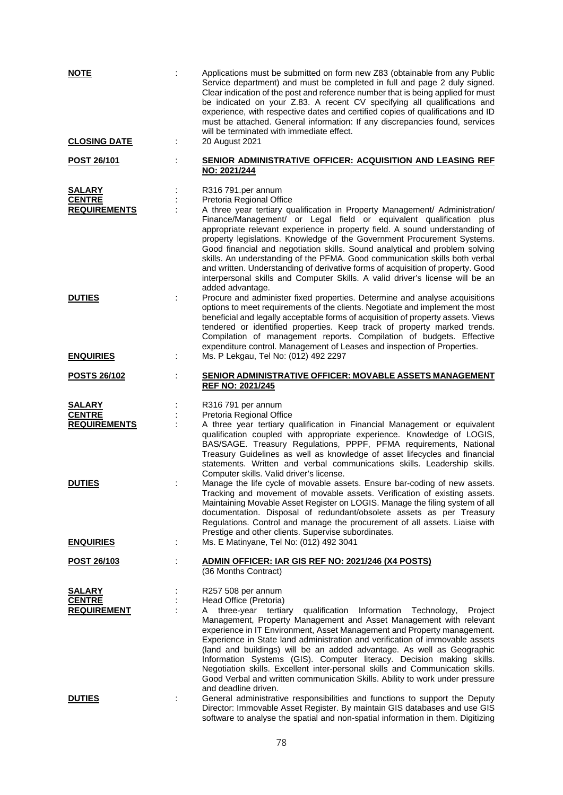| <b>NOTE</b>                                           |   | Applications must be submitted on form new Z83 (obtainable from any Public<br>Service department) and must be completed in full and page 2 duly signed.<br>Clear indication of the post and reference number that is being applied for must<br>be indicated on your Z.83. A recent CV specifying all qualifications and<br>experience, with respective dates and certified copies of qualifications and ID<br>must be attached. General information: If any discrepancies found, services<br>will be terminated with immediate effect.                                                                                                                                                           |
|-------------------------------------------------------|---|--------------------------------------------------------------------------------------------------------------------------------------------------------------------------------------------------------------------------------------------------------------------------------------------------------------------------------------------------------------------------------------------------------------------------------------------------------------------------------------------------------------------------------------------------------------------------------------------------------------------------------------------------------------------------------------------------|
| <b>CLOSING DATE</b>                                   | ÷ | 20 August 2021                                                                                                                                                                                                                                                                                                                                                                                                                                                                                                                                                                                                                                                                                   |
| <u>POST 26/101</u>                                    |   | SENIOR ADMINISTRATIVE OFFICER: ACQUISITION AND LEASING REF<br>NO: 2021/244                                                                                                                                                                                                                                                                                                                                                                                                                                                                                                                                                                                                                       |
| <b>SALARY</b><br><b>CENTRE</b><br><b>REQUIREMENTS</b> |   | R316 791.per annum<br>Pretoria Regional Office<br>A three year tertiary qualification in Property Management/ Administration/<br>Finance/Management/ or Legal field or equivalent qualification plus<br>appropriate relevant experience in property field. A sound understanding of<br>property legislations. Knowledge of the Government Procurement Systems.<br>Good financial and negotiation skills. Sound analytical and problem solving<br>skills. An understanding of the PFMA. Good communication skills both verbal<br>and written. Understanding of derivative forms of acquisition of property. Good<br>interpersonal skills and Computer Skills. A valid driver's license will be an |
| <b>DUTIES</b><br><b>ENQUIRIES</b>                     | ÷ | added advantage.<br>Procure and administer fixed properties. Determine and analyse acquisitions<br>options to meet requirements of the clients. Negotiate and implement the most<br>beneficial and legally acceptable forms of acquisition of property assets. Views<br>tendered or identified properties. Keep track of property marked trends.<br>Compilation of management reports. Compilation of budgets. Effective<br>expenditure control. Management of Leases and inspection of Properties.<br>Ms. P Lekgau, Tel No: (012) 492 2297                                                                                                                                                      |
| <b>POSTS 26/102</b>                                   |   | <b>SENIOR ADMINISTRATIVE OFFICER: MOVABLE ASSETS MANAGEMENT</b><br><b>REF NO: 2021/245</b>                                                                                                                                                                                                                                                                                                                                                                                                                                                                                                                                                                                                       |
| <b>SALARY</b><br><b>CENTRE</b><br><b>REQUIREMENTS</b> |   | R316 791 per annum<br>Pretoria Regional Office<br>A three year tertiary qualification in Financial Management or equivalent<br>qualification coupled with appropriate experience. Knowledge of LOGIS,<br>BAS/SAGE. Treasury Regulations, PPPF, PFMA requirements, National<br>Treasury Guidelines as well as knowledge of asset lifecycles and financial<br>statements. Written and verbal communications skills. Leadership skills.<br>Computer skills. Valid driver's license.                                                                                                                                                                                                                 |
| <b>DUTIES</b>                                         |   | Manage the life cycle of movable assets. Ensure bar-coding of new assets.<br>Tracking and movement of movable assets. Verification of existing assets.<br>Maintaining Movable Asset Register on LOGIS. Manage the filing system of all<br>documentation. Disposal of redundant/obsolete assets as per Treasury<br>Regulations. Control and manage the procurement of all assets. Liaise with<br>Prestige and other clients. Supervise subordinates.                                                                                                                                                                                                                                              |
| <b>ENQUIRIES</b>                                      | ÷ | Ms. E Matinyane, Tel No: (012) 492 3041<br>ADMIN OFFICER: IAR GIS REF NO: 2021/246 (X4 POSTS)                                                                                                                                                                                                                                                                                                                                                                                                                                                                                                                                                                                                    |
| <u>POST 26/103</u>                                    |   | (36 Months Contract)                                                                                                                                                                                                                                                                                                                                                                                                                                                                                                                                                                                                                                                                             |
| SALARY<br><b>CENTRE</b><br><b>REQUIREMENT</b>         |   | R257 508 per annum<br>Head Office (Pretoria)<br>three-year tertiary<br>qualification<br>Information Technology,<br>Project<br>A<br>Management, Property Management and Asset Management with relevant<br>experience in IT Environment, Asset Management and Property management.<br>Experience in State land administration and verification of immovable assets<br>(land and buildings) will be an added advantage. As well as Geographic<br>Information Systems (GIS). Computer literacy. Decision making skills.<br>Negotiation skills. Excellent inter-personal skills and Communication skills.<br>Good Verbal and written communication Skills. Ability to work under pressure             |
| <b>DUTIES</b>                                         |   | and deadline driven.<br>General administrative responsibilities and functions to support the Deputy<br>Director: Immovable Asset Register. By maintain GIS databases and use GIS<br>software to analyse the spatial and non-spatial information in them. Digitizing                                                                                                                                                                                                                                                                                                                                                                                                                              |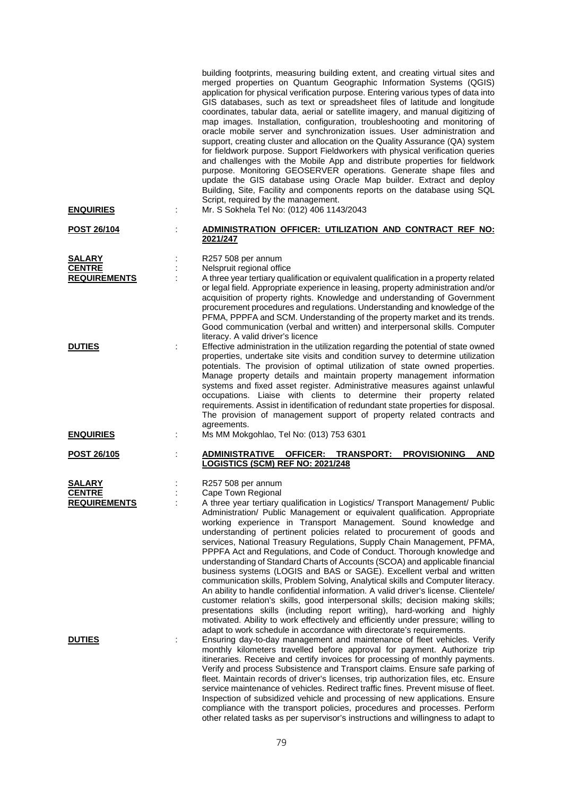| <b>ENQUIRIES</b>        | building footprints, measuring building extent, and creating virtual sites and<br>merged properties on Quantum Geographic Information Systems (QGIS)<br>application for physical verification purpose. Entering various types of data into<br>GIS databases, such as text or spreadsheet files of latitude and longitude<br>coordinates, tabular data, aerial or satellite imagery, and manual digitizing of<br>map images. Installation, configuration, troubleshooting and monitoring of<br>oracle mobile server and synchronization issues. User administration and<br>support, creating cluster and allocation on the Quality Assurance (QA) system<br>for fieldwork purpose. Support Fieldworkers with physical verification queries<br>and challenges with the Mobile App and distribute properties for fieldwork<br>purpose. Monitoring GEOSERVER operations. Generate shape files and<br>update the GIS database using Oracle Map builder. Extract and deploy<br>Building, Site, Facility and components reports on the database using SQL<br>Script, required by the management.<br>Mr. S Sokhela Tel No: (012) 406 1143/2043 |
|-------------------------|----------------------------------------------------------------------------------------------------------------------------------------------------------------------------------------------------------------------------------------------------------------------------------------------------------------------------------------------------------------------------------------------------------------------------------------------------------------------------------------------------------------------------------------------------------------------------------------------------------------------------------------------------------------------------------------------------------------------------------------------------------------------------------------------------------------------------------------------------------------------------------------------------------------------------------------------------------------------------------------------------------------------------------------------------------------------------------------------------------------------------------------|
| <b>POST 26/104</b>      | <u>ADMINISTRATION OFFICER: UTILIZATION AND CONTRACT REF NO:</u><br>2021/247                                                                                                                                                                                                                                                                                                                                                                                                                                                                                                                                                                                                                                                                                                                                                                                                                                                                                                                                                                                                                                                            |
|                         |                                                                                                                                                                                                                                                                                                                                                                                                                                                                                                                                                                                                                                                                                                                                                                                                                                                                                                                                                                                                                                                                                                                                        |
| SALARY<br><b>CENTRE</b> | R257 508 per annum<br>Nelspruit regional office                                                                                                                                                                                                                                                                                                                                                                                                                                                                                                                                                                                                                                                                                                                                                                                                                                                                                                                                                                                                                                                                                        |
| <b>REQUIREMENTS</b>     | A three year tertiary qualification or equivalent qualification in a property related                                                                                                                                                                                                                                                                                                                                                                                                                                                                                                                                                                                                                                                                                                                                                                                                                                                                                                                                                                                                                                                  |
|                         | or legal field. Appropriate experience in leasing, property administration and/or<br>acquisition of property rights. Knowledge and understanding of Government<br>procurement procedures and regulations. Understanding and knowledge of the<br>PFMA, PPPFA and SCM. Understanding of the property market and its trends.<br>Good communication (verbal and written) and interpersonal skills. Computer<br>literacy. A valid driver's licence                                                                                                                                                                                                                                                                                                                                                                                                                                                                                                                                                                                                                                                                                          |
| <b>DUTIES</b>           | Effective administration in the utilization regarding the potential of state owned<br>properties, undertake site visits and condition survey to determine utilization<br>potentials. The provision of optimal utilization of state owned properties.<br>Manage property details and maintain property management information<br>systems and fixed asset register. Administrative measures against unlawful<br>occupations. Liaise with clients to determine their property related<br>requirements. Assist in identification of redundant state properties for disposal.<br>The provision of management support of property related contracts and<br>agreements.                                                                                                                                                                                                                                                                                                                                                                                                                                                                       |
| <b>ENQUIRIES</b>        | Ms MM Mokgohlao, Tel No: (013) 753 6301                                                                                                                                                                                                                                                                                                                                                                                                                                                                                                                                                                                                                                                                                                                                                                                                                                                                                                                                                                                                                                                                                                |
| <b>POST 26/105</b>      | OFFICER: TRANSPORT:<br><b>PROVISIONING</b><br><b>ADMINISTRATIVE</b><br><b>AND</b>                                                                                                                                                                                                                                                                                                                                                                                                                                                                                                                                                                                                                                                                                                                                                                                                                                                                                                                                                                                                                                                      |
|                         | LOGISTICS (SCM) REF NO: 2021/248                                                                                                                                                                                                                                                                                                                                                                                                                                                                                                                                                                                                                                                                                                                                                                                                                                                                                                                                                                                                                                                                                                       |
| <b>SALARY</b>           | R257 508 per annum                                                                                                                                                                                                                                                                                                                                                                                                                                                                                                                                                                                                                                                                                                                                                                                                                                                                                                                                                                                                                                                                                                                     |
| <b>CENTRE</b>           | Cape Town Regional                                                                                                                                                                                                                                                                                                                                                                                                                                                                                                                                                                                                                                                                                                                                                                                                                                                                                                                                                                                                                                                                                                                     |
| <b>REQUIREMENTS</b>     | A three year tertiary qualification in Logistics/ Transport Management/ Public<br>Administration/ Public Management or equivalent qualification. Appropriate<br>working experience in Transport Management. Sound knowledge and<br>understanding of pertinent policies related to procurement of goods and<br>services, National Treasury Regulations, Supply Chain Management, PFMA,<br>PPPFA Act and Regulations, and Code of Conduct. Thorough knowledge and<br>understanding of Standard Charts of Accounts (SCOA) and applicable financial<br>business systems (LOGIS and BAS or SAGE). Excellent verbal and written<br>communication skills, Problem Solving, Analytical skills and Computer literacy.<br>An ability to handle confidential information. A valid driver's license. Clientele/<br>customer relation's skills, good interpersonal skills; decision making skills;<br>presentations skills (including report writing), hard-working and highly<br>motivated. Ability to work effectively and efficiently under pressure; willing to<br>adapt to work schedule in accordance with directorate's requirements.        |
| <b>DUTIES</b>           | Ensuring day-to-day management and maintenance of fleet vehicles. Verify<br>monthly kilometers travelled before approval for payment. Authorize trip<br>itineraries. Receive and certify invoices for processing of monthly payments.<br>Verify and process Subsistence and Transport claims. Ensure safe parking of                                                                                                                                                                                                                                                                                                                                                                                                                                                                                                                                                                                                                                                                                                                                                                                                                   |
|                         | fleet. Maintain records of driver's licenses, trip authorization files, etc. Ensure<br>service maintenance of vehicles. Redirect traffic fines. Prevent misuse of fleet.<br>Inspection of subsidized vehicle and processing of new applications. Ensure<br>compliance with the transport policies, procedures and processes. Perform<br>other related tasks as per supervisor's instructions and willingness to adapt to                                                                                                                                                                                                                                                                                                                                                                                                                                                                                                                                                                                                                                                                                                               |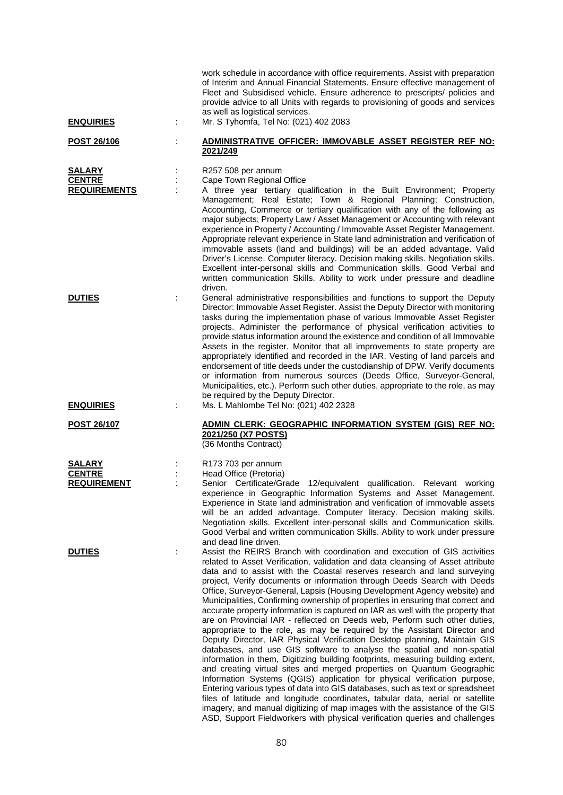| <b>ENQUIRIES</b>                                      | ÷ | work schedule in accordance with office requirements. Assist with preparation<br>of Interim and Annual Financial Statements. Ensure effective management of<br>Fleet and Subsidised vehicle. Ensure adherence to prescripts/ policies and<br>provide advice to all Units with regards to provisioning of goods and services<br>as well as logistical services.<br>Mr. S Tyhomfa, Tel No: (021) 402 2083                                                                                                                                                                                                                                                                                                                                                                                                                                                                                                                                                                                                                                                                                                                                                                                                                                                                                                                                                                                                                                                               |
|-------------------------------------------------------|---|-----------------------------------------------------------------------------------------------------------------------------------------------------------------------------------------------------------------------------------------------------------------------------------------------------------------------------------------------------------------------------------------------------------------------------------------------------------------------------------------------------------------------------------------------------------------------------------------------------------------------------------------------------------------------------------------------------------------------------------------------------------------------------------------------------------------------------------------------------------------------------------------------------------------------------------------------------------------------------------------------------------------------------------------------------------------------------------------------------------------------------------------------------------------------------------------------------------------------------------------------------------------------------------------------------------------------------------------------------------------------------------------------------------------------------------------------------------------------|
| <u>POST 26/106</u>                                    |   | ADMINISTRATIVE OFFICER: IMMOVABLE ASSET REGISTER REF NO:<br>2021/249                                                                                                                                                                                                                                                                                                                                                                                                                                                                                                                                                                                                                                                                                                                                                                                                                                                                                                                                                                                                                                                                                                                                                                                                                                                                                                                                                                                                  |
| <u>SALARY</u><br><b>CENTRE</b><br><b>REQUIREMENTS</b> | ÷ | R257 508 per annum<br>Cape Town Regional Office<br>A three year tertiary qualification in the Built Environment; Property<br>Management; Real Estate; Town & Regional Planning; Construction,<br>Accounting, Commerce or tertiary qualification with any of the following as<br>major subjects; Property Law / Asset Management or Accounting with relevant<br>experience in Property / Accounting / Immovable Asset Register Management.<br>Appropriate relevant experience in State land administration and verification of<br>immovable assets (land and buildings) will be an added advantage. Valid<br>Driver's License. Computer literacy. Decision making skills. Negotiation skills.<br>Excellent inter-personal skills and Communication skills. Good Verbal and<br>written communication Skills. Ability to work under pressure and deadline<br>driven.                                                                                                                                                                                                                                                                                                                                                                                                                                                                                                                                                                                                     |
| <b>DUTIES</b>                                         |   | General administrative responsibilities and functions to support the Deputy<br>Director: Immovable Asset Register. Assist the Deputy Director with monitoring<br>tasks during the implementation phase of various Immovable Asset Register<br>projects. Administer the performance of physical verification activities to<br>provide status information around the existence and condition of all Immovable<br>Assets in the register. Monitor that all improvements to state property are<br>appropriately identified and recorded in the IAR. Vesting of land parcels and<br>endorsement of title deeds under the custodianship of DPW. Verify documents<br>or information from numerous sources (Deeds Office, Surveyor-General,<br>Municipalities, etc.). Perform such other duties, appropriate to the role, as may<br>be required by the Deputy Director.                                                                                                                                                                                                                                                                                                                                                                                                                                                                                                                                                                                                       |
| <b>ENQUIRIES</b>                                      |   | Ms. L Mahlombe Tel No: (021) 402 2328                                                                                                                                                                                                                                                                                                                                                                                                                                                                                                                                                                                                                                                                                                                                                                                                                                                                                                                                                                                                                                                                                                                                                                                                                                                                                                                                                                                                                                 |
| <b>POST 26/107</b>                                    |   | <b>ADMIN CLERK: GEOGRAPHIC INFORMATION SYSTEM (GIS) REF NO:</b><br>2021/250 (X7 POSTS)<br>(36 Months Contract)                                                                                                                                                                                                                                                                                                                                                                                                                                                                                                                                                                                                                                                                                                                                                                                                                                                                                                                                                                                                                                                                                                                                                                                                                                                                                                                                                        |
| <b>SALARY</b><br><b>CENTRE</b><br><b>REQUIREMENT</b>  |   | R173 703 per annum<br>Head Office (Pretoria)<br>Senior Certificate/Grade 12/equivalent qualification. Relevant working<br>experience in Geographic Information Systems and Asset Management.<br>Experience in State land administration and verification of immovable assets<br>will be an added advantage. Computer literacy. Decision making skills.<br>Negotiation skills. Excellent inter-personal skills and Communication skills.<br>Good Verbal and written communication Skills. Ability to work under pressure<br>and dead line driven.                                                                                                                                                                                                                                                                                                                                                                                                                                                                                                                                                                                                                                                                                                                                                                                                                                                                                                                      |
| <b>DUTIES</b>                                         |   | Assist the REIRS Branch with coordination and execution of GIS activities<br>related to Asset Verification, validation and data cleansing of Asset attribute<br>data and to assist with the Coastal reserves research and land surveying<br>project, Verify documents or information through Deeds Search with Deeds<br>Office, Surveyor-General, Lapsis (Housing Development Agency website) and<br>Municipalities, Confirming ownership of properties in ensuring that correct and<br>accurate property information is captured on IAR as well with the property that<br>are on Provincial IAR - reflected on Deeds web, Perform such other duties,<br>appropriate to the role, as may be required by the Assistant Director and<br>Deputy Director, IAR Physical Verification Desktop planning, Maintain GIS<br>databases, and use GIS software to analyse the spatial and non-spatial<br>information in them, Digitizing building footprints, measuring building extent,<br>and creating virtual sites and merged properties on Quantum Geographic<br>Information Systems (QGIS) application for physical verification purpose,<br>Entering various types of data into GIS databases, such as text or spreadsheet<br>files of latitude and longitude coordinates, tabular data, aerial or satellite<br>imagery, and manual digitizing of map images with the assistance of the GIS<br>ASD, Support Fieldworkers with physical verification queries and challenges |